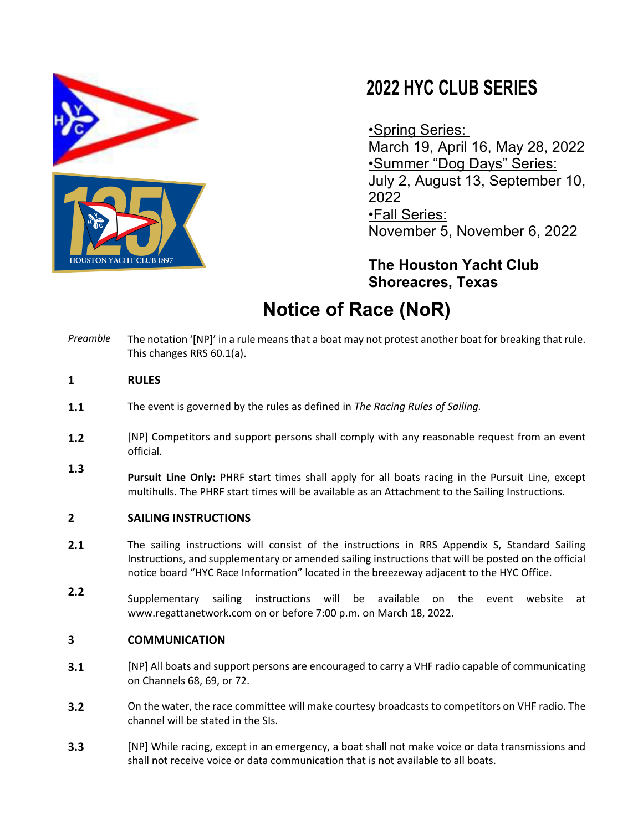

# **2022 HYC CLUB SERIES**

•Spring Series: March 19, April 16, May 28, 2022 •Summer "Dog Days" Series: July 2, August 13, September 10, 2022 •Fall Series: November 5, November 6, 2022

**The Houston Yacht Club Shoreacres, Texas**

# **Notice of Race (NoR)**

*Preamble* The notation '[NP]' in a rule means that a boat may not protest another boat for breaking that rule. This changes RRS 60.1(a).

# **1 RULES**

- **1.1** The event is governed by the rules as defined in *The Racing Rules of Sailing.*
- **1.2** [NP] Competitors and support persons shall comply with any reasonable request from an event official.
- **1.3 Pursuit Line Only:** PHRF start times shall apply for all boats racing in the Pursuit Line, except multihulls. The PHRF start times will be available as an Attachment to the Sailing Instructions.

### **2 SAILING INSTRUCTIONS**

- **2.1** The sailing instructions will consist of the instructions in RRS Appendix S, Standard Sailing Instructions, and supplementary or amended sailing instructions that will be posted on the official notice board "HYC Race Information" located in the breezeway adjacent to the HYC Office.
- **2.2** Supplementary sailing instructions will be available on the event website at www.regattanetwork.com on or before 7:00 p.m. on March 18, 2022.

### **3 COMMUNICATION**

- **3.1** [NP] All boats and support persons are encouraged to carry a VHF radio capable of communicating on Channels 68, 69, or 72.
- **3.2** On the water, the race committee will make courtesy broadcasts to competitors on VHF radio. The channel will be stated in the SIs.
- **3.3** [NP] While racing, except in an emergency, a boat shall not make voice or data transmissions and shall not receive voice or data communication that is not available to all boats.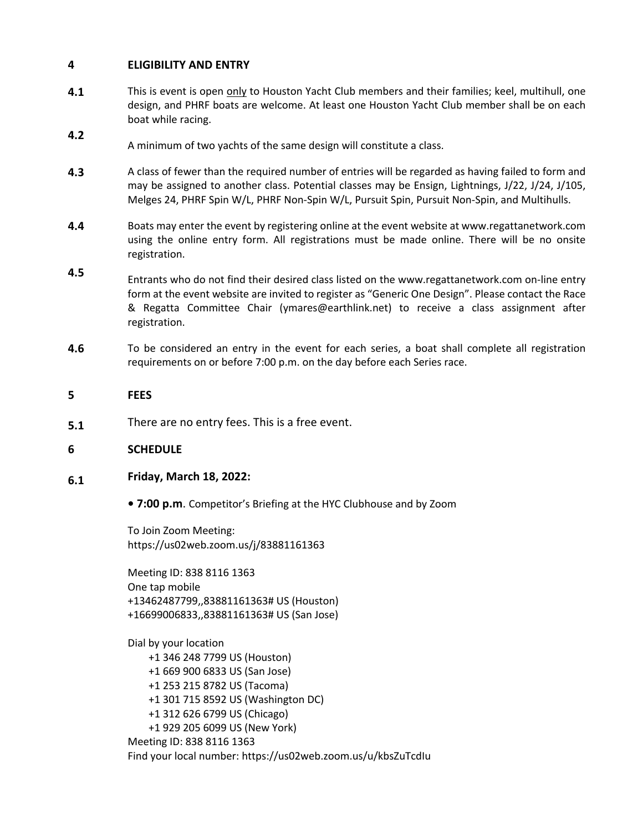### **4 ELIGIBILITY AND ENTRY**

- **4.1** This is event is open only to Houston Yacht Club members and their families; keel, multihull, one design, and PHRF boats are welcome. At least one Houston Yacht Club member shall be on each boat while racing.
- **4.2** A minimum of two yachts of the same design will constitute a class.
- **4.3** A class of fewer than the required number of entries will be regarded as having failed to form and may be assigned to another class. Potential classes may be Ensign, Lightnings, J/22, J/24, J/105, Melges 24, PHRF Spin W/L, PHRF Non-Spin W/L, Pursuit Spin, Pursuit Non-Spin, and Multihulls.
- **4.4** Boats may enter the event by registering online at the event website at www.regattanetwork.com using the online entry form. All registrations must be made online. There will be no onsite registration.
- **4.5** Entrants who do not find their desired class listed on the www.regattanetwork.com on-line entry form at the event website are invited to register as "Generic One Design". Please contact the Race & Regatta Committee Chair (ymares@earthlink.net) to receive a class assignment after registration.
- **4.6** To be considered an entry in the event for each series, a boat shall complete all registration requirements on or before 7:00 p.m. on the day before each Series race.

#### **5 FEES**

**5.1** There are no entry fees. This is a free event.

#### **6 SCHEDULE**

#### **6.1 Friday, March 18, 2022:**

**• 7:00 p.m**. Competitor's Briefing at the HYC Clubhouse and by Zoom

To Join Zoom Meeting: https://us02web.zoom.us/j/83881161363

Meeting ID: 838 8116 1363 One tap mobile +13462487799,,83881161363# US (Houston) +16699006833,,83881161363# US (San Jose)

Dial by your location +1 346 248 7799 US (Houston) +1 669 900 6833 US (San Jose) +1 253 215 8782 US (Tacoma) +1 301 715 8592 US (Washington DC) +1 312 626 6799 US (Chicago) +1 929 205 6099 US (New York) Meeting ID: 838 8116 1363 Find your local number: https://us02web.zoom.us/u/kbsZuTcdIu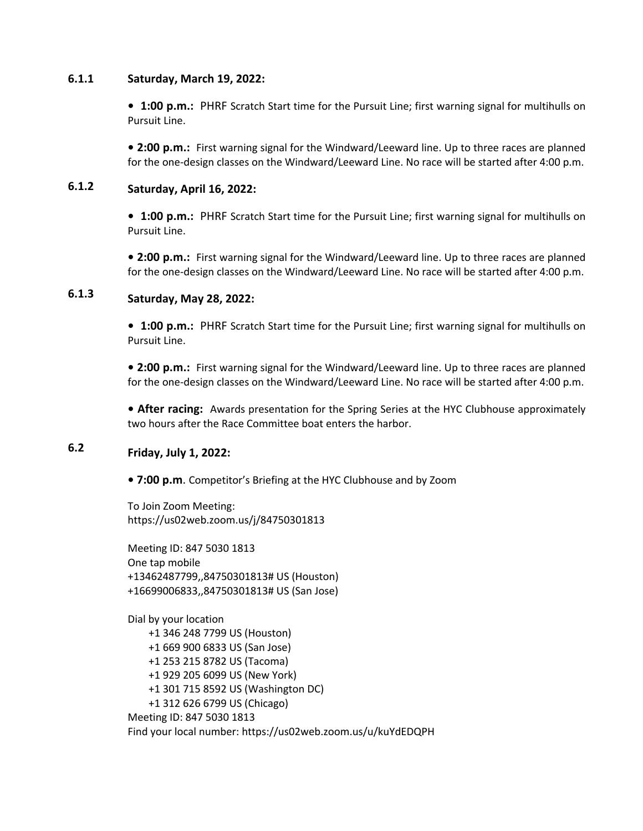#### **6.1.1 Saturday, March 19, 2022:**

**• 1:00 p.m.:** PHRF Scratch Start time for the Pursuit Line; first warning signal for multihulls on Pursuit Line.

**• 2:00 p.m.:** First warning signal for the Windward/Leeward line. Up to three races are planned for the one-design classes on the Windward/Leeward Line. No race will be started after 4:00 p.m.

#### **6.1.2 Saturday, April 16, 2022:**

**• 1:00 p.m.:** PHRF Scratch Start time for the Pursuit Line; first warning signal for multihulls on Pursuit Line.

**• 2:00 p.m.:** First warning signal for the Windward/Leeward line. Up to three races are planned for the one-design classes on the Windward/Leeward Line. No race will be started after 4:00 p.m.

### **6.1.3 Saturday, May 28, 2022:**

**• 1:00 p.m.:** PHRF Scratch Start time for the Pursuit Line; first warning signal for multihulls on Pursuit Line.

**• 2:00 p.m.:** First warning signal for the Windward/Leeward line. Up to three races are planned for the one-design classes on the Windward/Leeward Line. No race will be started after 4:00 p.m.

**• After racing:** Awards presentation for the Spring Series at the HYC Clubhouse approximately two hours after the Race Committee boat enters the harbor.

### **6.2 Friday, July 1, 2022:**

**• 7:00 p.m**. Competitor's Briefing at the HYC Clubhouse and by Zoom

To Join Zoom Meeting: https://us02web.zoom.us/j/84750301813

Meeting ID: 847 5030 1813 One tap mobile +13462487799,,84750301813# US (Houston) +16699006833,,84750301813# US (San Jose)

Dial by your location +1 346 248 7799 US (Houston) +1 669 900 6833 US (San Jose) +1 253 215 8782 US (Tacoma) +1 929 205 6099 US (New York) +1 301 715 8592 US (Washington DC) +1 312 626 6799 US (Chicago) Meeting ID: 847 5030 1813 Find your local number: https://us02web.zoom.us/u/kuYdEDQPH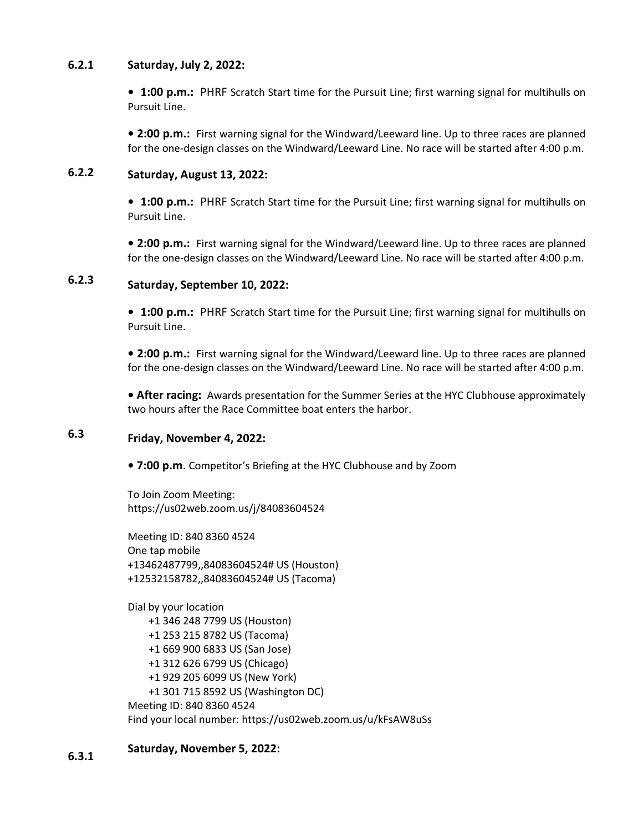#### **6.2.1 Saturday, July 2, 2022:**

**• 1:00 p.m.:** PHRF Scratch Start time for the Pursuit Line; first warning signal for multihulls on Pursuit Line.

**• 2:00 p.m.:** First warning signal for the Windward/Leeward line. Up to three races are planned for the one-design classes on the Windward/Leeward Line. No race will be started after 4:00 p.m.

### **6.2.2 Saturday, August 13, 2022:**

**• 1:00 p.m.:** PHRF Scratch Start time for the Pursuit Line; first warning signal for multihulls on Pursuit Line.

**• 2:00 p.m.:** First warning signal for the Windward/Leeward line. Up to three races are planned for the one-design classes on the Windward/Leeward Line. No race will be started after 4:00 p.m.

### **6.2.3 Saturday, September 10, 2022:**

**• 1:00 p.m.:** PHRF Scratch Start time for the Pursuit Line; first warning signal for multihulls on Pursuit Line.

**• 2:00 p.m.:** First warning signal for the Windward/Leeward line. Up to three races are planned for the one-design classes on the Windward/Leeward Line. No race will be started after 4:00 p.m.

**• After racing:** Awards presentation for the Summer Series at the HYC Clubhouse approximately two hours after the Race Committee boat enters the harbor.

### **6.3 Friday, November 4, 2022:**

**• 7:00 p.m**. Competitor's Briefing at the HYC Clubhouse and by Zoom

To Join Zoom Meeting: https://us02web.zoom.us/j/84083604524

Meeting ID: 840 8360 4524 One tap mobile +13462487799,,84083604524# US (Houston) +12532158782,,84083604524# US (Tacoma)

Dial by your location

 +1 346 248 7799 US (Houston) +1 253 215 8782 US (Tacoma) +1 669 900 6833 US (San Jose) +1 312 626 6799 US (Chicago) +1 929 205 6099 US (New York) +1 301 715 8592 US (Washington DC) Meeting ID: 840 8360 4524 Find your local number: https://us02web.zoom.us/u/kFsAW8uSs

### **6.3.1 Saturday, November 5, 2022:**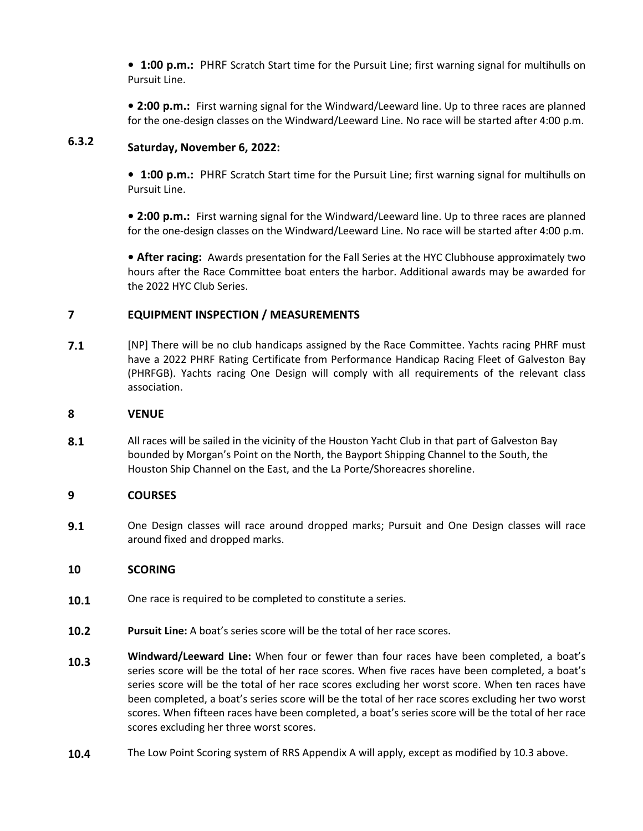**• 1:00 p.m.:** PHRF Scratch Start time for the Pursuit Line; first warning signal for multihulls on Pursuit Line.

**• 2:00 p.m.:** First warning signal for the Windward/Leeward line. Up to three races are planned for the one-design classes on the Windward/Leeward Line. No race will be started after 4:00 p.m.

### **6.3.2 Saturday, November 6, 2022:**

**• 1:00 p.m.:** PHRF Scratch Start time for the Pursuit Line; first warning signal for multihulls on Pursuit Line.

**• 2:00 p.m.:** First warning signal for the Windward/Leeward line. Up to three races are planned for the one-design classes on the Windward/Leeward Line. No race will be started after 4:00 p.m.

**• After racing:** Awards presentation for the Fall Series at the HYC Clubhouse approximately two hours after the Race Committee boat enters the harbor. Additional awards may be awarded for the 2022 HYC Club Series.

# **7 EQUIPMENT INSPECTION / MEASUREMENTS**

**7.1** [NP] There will be no club handicaps assigned by the Race Committee. Yachts racing PHRF must have a 2022 PHRF Rating Certificate from Performance Handicap Racing Fleet of Galveston Bay (PHRFGB). Yachts racing One Design will comply with all requirements of the relevant class association.

## **8 VENUE**

**8.1** All races will be sailed in the vicinity of the Houston Yacht Club in that part of Galveston Bay bounded by Morgan's Point on the North, the Bayport Shipping Channel to the South, the Houston Ship Channel on the East, and the La Porte/Shoreacres shoreline.

# **9 COURSES**

**9.1** One Design classes will race around dropped marks; Pursuit and One Design classes will race around fixed and dropped marks.

# **10 SCORING**

- **10.1** One race is required to be completed to constitute a series.
- **10.2 Pursuit Line:** A boat's series score will be the total of her race scores.
- **10.3 Windward/Leeward Line:** When four or fewer than four races have been completed, a boat's series score will be the total of her race scores. When five races have been completed, a boat's series score will be the total of her race scores excluding her worst score. When ten races have been completed, a boat's series score will be the total of her race scores excluding her two worst scores. When fifteen races have been completed, a boat's series score will be the total of her race scores excluding her three worst scores.
- **10.4** The Low Point Scoring system of RRS Appendix A will apply, except as modified by 10.3 above.